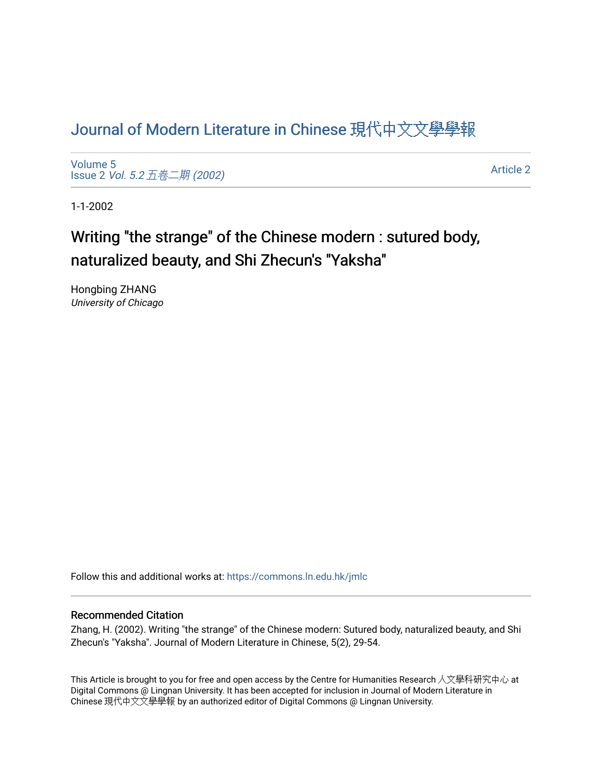# [Journal of Modern Literature in Chinese](https://commons.ln.edu.hk/jmlc) 現代中文文學學報

[Volume 5](https://commons.ln.edu.hk/jmlc/vol5) Issue 2 Vol. 5.2 [五卷二期](https://commons.ln.edu.hk/jmlc/vol5/iss2) (2002)

[Article 2](https://commons.ln.edu.hk/jmlc/vol5/iss2/2) 

1-1-2002

# Writing "the strange" of the Chinese modern : sutured body, naturalized beauty, and Shi Zhecun's "Yaksha"

Hongbing ZHANG University of Chicago

Follow this and additional works at: [https://commons.ln.edu.hk/jmlc](https://commons.ln.edu.hk/jmlc?utm_source=commons.ln.edu.hk%2Fjmlc%2Fvol5%2Fiss2%2F2&utm_medium=PDF&utm_campaign=PDFCoverPages) 

#### Recommended Citation

Zhang, H. (2002). Writing "the strange" of the Chinese modern: Sutured body, naturalized beauty, and Shi Zhecun's "Yaksha". Journal of Modern Literature in Chinese, 5(2), 29-54.

This Article is brought to you for free and open access by the Centre for Humanities Research 人文學科研究中心 at Digital Commons @ Lingnan University. It has been accepted for inclusion in Journal of Modern Literature in Chinese 現代中文文學學報 by an authorized editor of Digital Commons @ Lingnan University.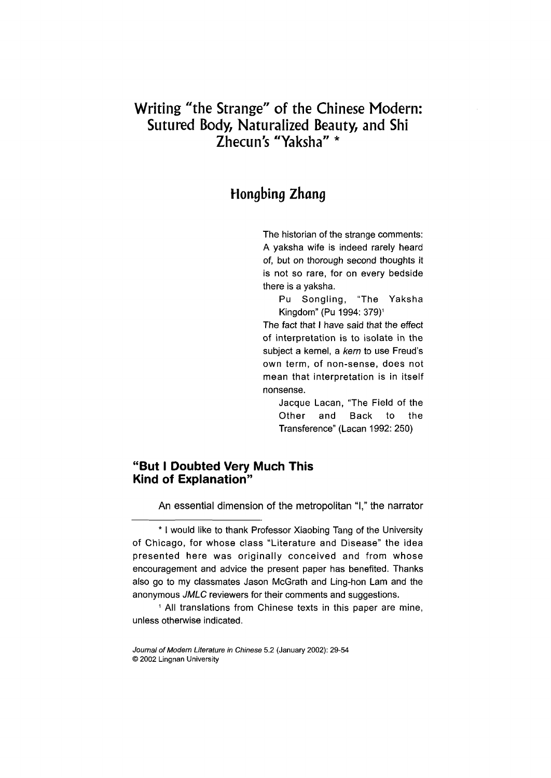# **Writing "the Strange" of the Chinese Modern: Sutured Body, Naturalized Beauty, and Shi** Zhecun's "Yaksha" \*

# **Hongbing** *Zhang*

The historian of the strange comments: A yaksha wife is indeed rarely heard of, but on thorough second thoughts it is not so rare, for on every bedside there is a yaksha.

Pu Songling, "The Yaksha Kingdom" (Pu 1994: 379)<sup>1</sup>

The fact that I have said that the effect of interpretation is to isolate in the subject a kernel, a *kern* to use Freud's own term, of non-sense, does not mean that interpretation is in itself nonsense.

Jacque Lacan, "The Field of the Other and Back to the Transference" (Lacan 1992: 250)

### **"But I Doubted Very Much This Kind of Explanation"**

An essential dimension of the metropolitan "I," the narrator

<sup>\*</sup> I would like to thank Professor Xiaobing Tang of the University of Chicago, for whose class "Literature and Disease" the idea presented here was originally conceived and from whose encouragement and advice the present paper has benefited. Thanks also go to my classmates Jason McGrath and Ling-hon Lam and the anonymous *JMLC* reviewers for their comments and suggestions.

<sup>1</sup> All translations from Chinese texts in this paper are mine, unless otherwise indicated.

*Journal of Modern Literature in Chinese* 5.2 (January 2002): 29-54 © 2002 Lingnan University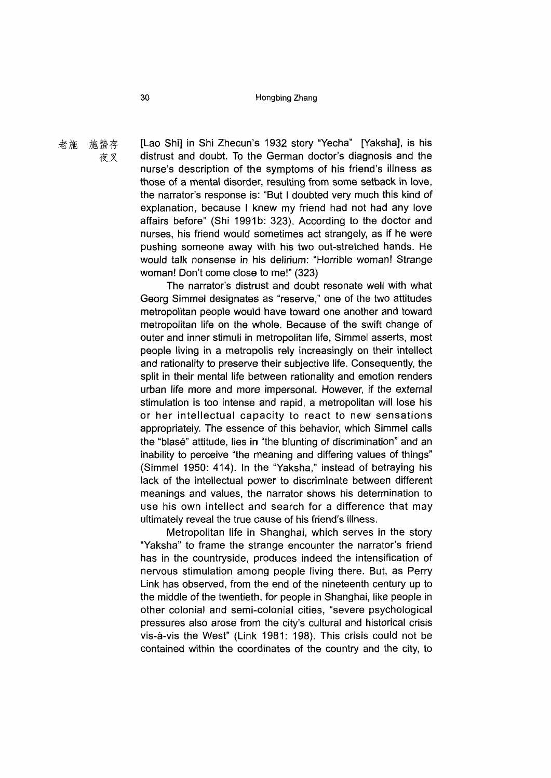#### 30 Hongbing Zhang

老施 施蟄存 [Lao Shi] in Shi Zhecun's 1932 story "Yecha" [Yaksha], is his 夜叉 distrust and doubt. To the German doctor's diagnosis and the nurse's description of the symptoms of his friend's illness as those of a mental disorder, resulting from some setback in love, the narrator's response is: "But I doubted very much this kind of explanation, because I knew my friend had not had any love affairs before" (Shi 1991b: 323). According to the doctor and nurses, his friend would sometimes act strangely, as if he were pushing someone away with his two out-stretched hands. He would talk nonsense in his delirium: "Horrible woman! Strange woman! Don't come close to me!" (323)

> The narrator's distrust and doubt resonate well with what Georg Simmel designates as "reserve," one of the two attitudes metropolitan people would have toward one another and toward metropolitan life on the whole. Because of the swift change of outer and inner stimuli in metropolitan life, Simmel asserts, most people living in a metropolis rely increasingly on their intellect and rationality to preserve their subjective life. Consequently, the split in their mental life between rationality and emotion renders urban life more and more impersonal. However, if the external stimulation is too intense and rapid, a metropolitan will lose his or her intellectual capacity to react to new sensations appropriately. The essence of this behavior, which Simmel calls the "blase" attitude, lies in "the blunting of discrimination" and an inability to perceive "the meaning and differing values of things" (Simmel 1950: 414). In the "Yaksha," instead of betraying his lack of the intellectual power to discriminate between different meanings and values, the narrator shows his determination to use his own intellect and search for a difference that may ultimately reveal the true cause of his friend's illness.

> Metropolitan life in Shanghai, which serves in the story "Yaksha" to frame the strange encounter the narrator's friend has in the countryside, produces indeed the intensification of nervous stimulation among people living there. But, as Perry Link has observed, from the end of the nineteenth century up to the middle of the twentieth, for people in Shanghai, like people in other colonial and semi-colonial cities, "severe psychological pressures also arose from the city's cultural and historical crisis vis-à-vis the West" (Link 1981: 198). This crisis could not be contained within the coordinates of the country and the city, to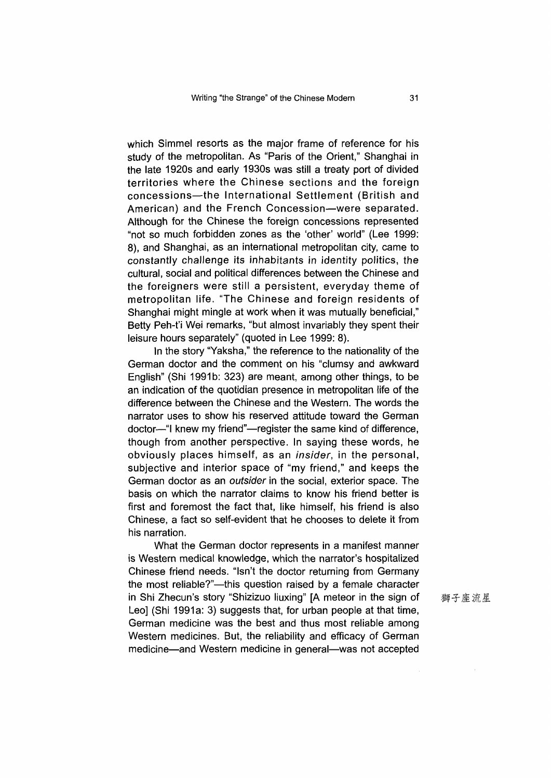which Simmel resorts as the major frame of reference for his study of the metropolitan. As "Paris of the Orient," Shanghai in the late 1920s and early 1930s was still a treaty port of divided territories where the Chinese sections and the foreign concessions—the International Settlement (British and American) and the French Concession—were separated. Although for the Chinese the foreign concessions represented "not so much forbidden zones as the 'other' world" (Lee 1999: 8), and Shanghai, as an international metropolitan city, came to constantly challenge its inhabitants in identity politics, the cultural, social and political differences between the Chinese and the foreigners were still a persistent, everyday theme of metropolitan life. "The Chinese and foreign residents of Shanghai might mingle at work when it was mutually beneficial," Betty Peh-t'i Wei remarks, "but almost invariably they spent their leisure hours separately" (quoted in Lee 1999: 8).

In the story "Yaksha," the reference to the nationality of the German doctor and the comment on his "clumsy and awkward English" (Shi 1991b: 323) are meant, among other things, to be an indication of the quotidian presence in metropolitan life of the difference between the Chinese and the Western. The words the narrator uses to show his reserved attitude toward the German doctor—"I knew my friend"—register the same kind of difference, though from another perspective. In saying these words, he obviously places himself, as an *insider,* in the personal, subjective and interior space of "my friend," and keeps the German doctor as an *outsider* in the social, exterior space. The basis on which the narrator claims to know his friend better is first and foremost the fact that, like himself, his friend is also Chinese, a fact so self-evident that he chooses to delete it from his narration.

What the German doctor represents in a manifest manner is Western medical knowledge, which the narrator's hospitalized Chinese friend needs. "Isn't the doctor returning from Germany the most reliable?"—this question raised by a female character in Shi Zhecun's story "Shizizuo liuxing" [A meteor in the sign of Leo] (Shi 1991a: 3) suggests that, for urban people at that time, German medicine was the best and thus most reliable among Western medicines. But, the reliability and efficacy of German medicine—and Western medicine in general—was not accepted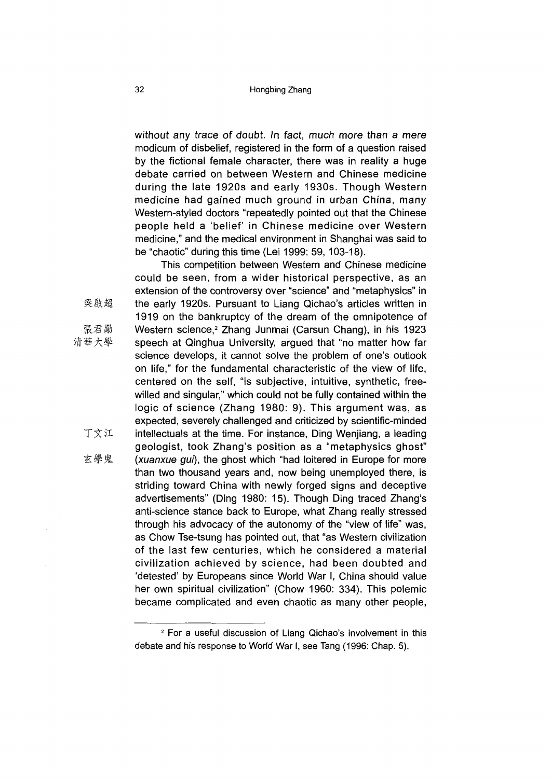without any trace of doubt. In fact, much more than a mere modicum of disbelief, registered in the form of a question raised by the fictional female character, there was in reality a huge debate carried on between Western and Chinese medicine during the late 1920s and early 1930s. Though Western medicine had gained much ground in urban China, many Western-styled doctors "repeatedly pointed out that the Chinese people held a 'belief' in Chinese medicine over Western medicine," and the medical environment in Shanghai was said to be "chaotic" during this time (Lei 1999: 59, 103-18).

This competition between Western and Chinese medicine could be seen, from a wider historical perspective, as an extension of the controversy over "science" and "metaphysics" in the early 1920s. Pursuant to Liang Qichao's articles written in 1919 on the bankruptcy of the dream of the omnipotence of Western science,<sup>2</sup> Zhang Junmai (Carsun Chang), in his 1923 speech at Qinghua University, argued that "no matter how far science develops, it cannot solve the problem of one's outlook on life," for the fundamental characteristic of the view of life, centered on the self, "is subjective, intuitive, synthetic, freewilled and singular," which could not be fully contained within the logic of science (Zhang 1980: 9). This argument was, as expected, severely challenged and criticized by scientific-minded intellectuals at the time. For instance, Ding Wenjiang, a leading geologist, took Zhang's position as a "metaphysics ghost" *(xuanxue gui)*, the ghost which "had loitered in Europe for more than two thousand years and, now being unemployed there, is striding toward China with newly forged signs and deceptive advertisements" (Ding 1980: 15). Though Ding traced Zhang's anti-science stance back to Europe, what Zhang really stressed through his advocacy of the autonomy of the "view of life" was, as Chow Tse-tsung has pointed out, that "as Western civilization of the last few centuries, which he considered a material civilization achieved by science, had been doubted and 'detested' by Europeans since World War I, China should value her own spiritual civilization" (Chow 1960: 334). This polemic became complicated and even chaotic as many other people,

梁啟超

- 張君勸
- 清華大學
	- 丁文江
	- 玄學鬼

<sup>2</sup> For a useful discussion of Liang Qichao's involvement in this debate and his response to World War I, see Tang (1996: Chap. 5).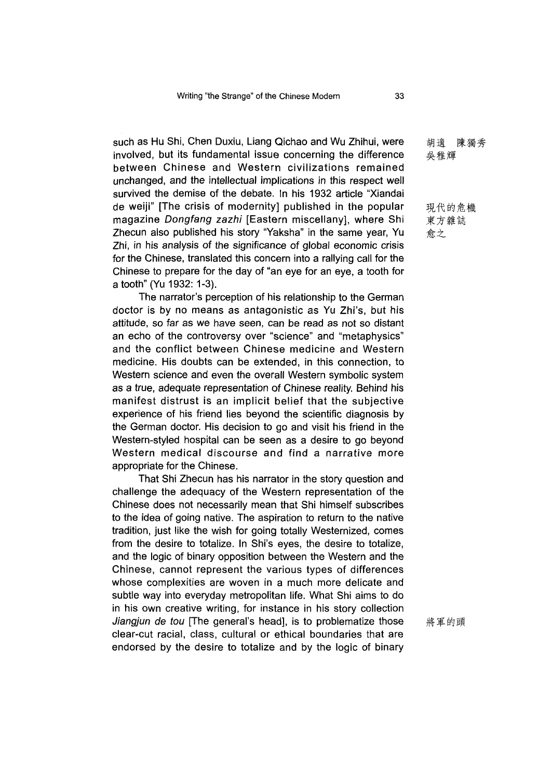such as Hu Shi, Chen Duxiu, Liang Qichao and Wu Zhihui, were involved, but its fundamental issue concerning the difference between Chinese and Western civilizations remained unchanged, and the intellectual implications in this respect well survived the demise of the debate. In his 1932 article "Xiandai de weiji" [The crisis of modernity] published in the popular magazine *Dongfang zazhi* [Eastern miscellany], where Shi Zhecun also published his story "Yaksha" in the same year, Yu Zhi, in his analysis of the significance of global economic crisis for the Chinese, translated this concern into a rallying call for the Chinese to prepare for the day of "an eye for an eye, a tooth for a tooth" (Yu 1932: 1-3).

The narrator's perception of his relationship to the German doctor is by no means as antagonistic as Yu Zhi's, but his attitude, so far as we have seen, can be read as not so distant an echo of the controversy over "science" and "metaphysics" and the conflict between Chinese medicine and Western medicine. His doubts can be extended, in this connection, to Western science and even the overall Western symbolic system as a true, adequate representation of Chinese reality. Behind his manifest distrust is an implicit belief that the subjective experience of his friend lies beyond the scientific diagnosis by the German doctor. His decision to go and visit his friend in the Western-styled hospital can be seen as a desire to go beyond Western medical discourse and find a narrative more appropriate for the Chinese.

That Shi Zhecun has his narrator in the story question and challenge the adequacy of the Western representation of the Chinese does not necessarily mean that Shi himself subscribes to the idea of going native. The aspiration to return to the native tradition, just like the wish for going totally Westernized, comes from the desire to totalize. In Shi's eyes, the desire to totalize and the logic of binary opposition between the Western and the Chinese, cannot represent the various types of differences whose complexities are woven in a much more delicate and subtle way into everyday metropolitan life. What Shi aims to do in his own creative writing, for instance in his story collection *Jiangjun de tou* [The general's head], is to problematize those clear-cut racial, class, cultural or ethical boundaries that are endorsed by the desire to totalize and by the logic of binary

胡適 陳獨秀 吳稚輝

現代的危機 東方雜誌 愈之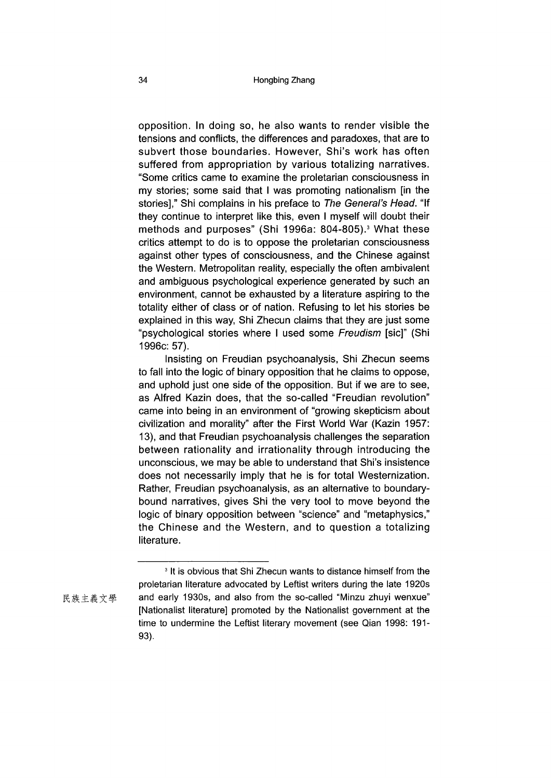opposition. In doing so, he also wants to render visible the tensions and conflicts, the differences and paradoxes, that are to subvert those boundaries. However, Shi's work has often suffered from appropriation by various totalizing narratives. "Some critics came to examine the proletarian consciousness in my stories; some said that I was promoting nationalism [in the stories]," Shi complains in his preface to *The General's Head*. "If they continue to interpret like this, even I myself will doubt their methods and purposes" (Shi 1996a: 804-805).3 What these critics attempt to do is to oppose the proletarian consciousness against other types of consciousness, and the Chinese against the Western. Metropolitan reality, especially the often ambivalent and ambiguous psychological experience generated by such an environment, cannot be exhausted by a literature aspiring to the totality either of class or of nation. Refusing to let his stories be explained in this way, Shi Zhecun claims that they are just some '"psychological stories where I used some *Freudism* [sic]" (Shi 1996c: 57).

Insisting on Freudian psychoanalysis, Shi Zhecun seems to fall into the logic of binary opposition that he claims to oppose, and uphold just one side of the opposition. But if we are to see, as Alfred Kazin does, that the so-called "Freudian revolution" came into being in an environment of "growing skepticism about civilization and morality" after the First World War (Kazin 1957: 13), and that Freudian psychoanalysis challenges the separation between rationality and irrationality through introducing the unconscious, we may be able to understand that Shi's insistence does not necessarily imply that he is for total Westernization. Rather, Freudian psychoanalysis, as an alternative to boundarybound narratives, gives Shi the very tool to move beyond the logic of binary opposition between "science" and "metaphysics," the Chinese and the Western, and to question a totalizing literature.

<sup>&</sup>lt;sup>3</sup> It is obvious that Shi Zhecun wants to distance himself from the proletarian literature advocated by Leftist writers during the late 1920s 民族主義文學 and early 1930s, and also from the so-called "Minzu zhuyi wenxue" [Nationalist literature] promoted by the Nationalist government at the time to undermine the Leftist literary movement (see Qian 1998: 191- 93).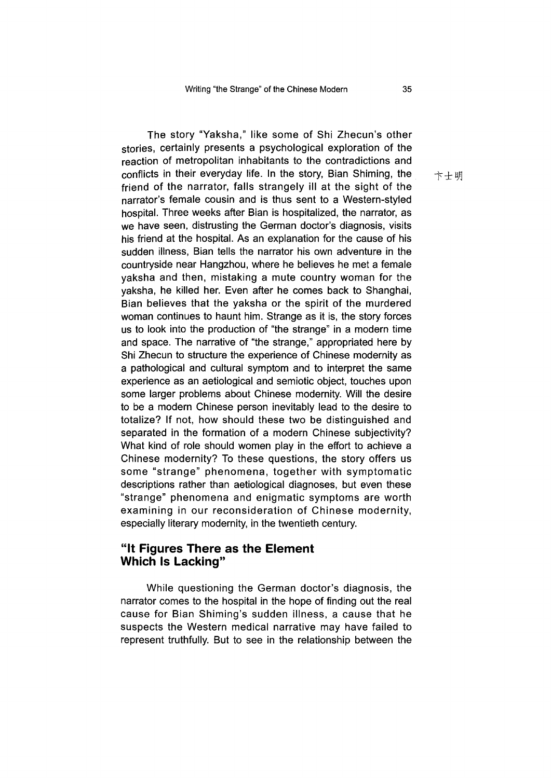The story "Yaksha," like some of Shi Zhecun's other stories, certainly presents a psychological exploration of the reaction of metropolitan inhabitants to the contradictions and conflicts in their everyday life. In the story, Bian Shiming, the friend of the narrator, falls strangely ill at the sight of the narrator's female cousin and is thus sent to a Western-styled hospital. Three weeks after Bian is hospitalized, the narrator, as we have seen, distrusting the German doctor's diagnosis, visits his friend at the hospital. As an explanation for the cause of his sudden illness, Bian tells the narrator his own adventure in the countryside near Hangzhou, where he believes he met a female yaksha and then, mistaking a mute country woman for the yaksha, he killed her. Even after he comes back to Shanghai, Bian believes that the yaksha or the spirit of the murdered woman continues to haunt him. Strange as it is, the story forces us to look into the production of "the strange" in a modern time and space. The narrative of "the strange," appropriated here by Shi Zhecun to structure the experience of Chinese modernity as a pathological and cultural symptom and to interpret the same experience as an aetiological and semiotic object, touches upon some larger problems about Chinese modernity. Will the desire to be a modern Chinese person inevitably lead to the desire to totalize? If not, how should these two be distinguished and separated in the formation of a modern Chinese subjectivity? What kind of role should women play in the effort to achieve a Chinese modernity? To these questions, the story offers us some "strange" phenomena, together with symptomatic descriptions rather than aetiological diagnoses, but even these "strange" phenomena and enigmatic symptoms are worth examining in our reconsideration of Chinese modernity, especially literary modernity, in the twentieth century.

#### **"It Figures There as the Element Which Is Lacking"**

While questioning the German doctor's diagnosis, the narrator comes to the hospital in the hope of finding out the real cause for Bian Shiming's sudden illness, a cause that he suspects the Western medical narrative may have failed to represent truthfully. But to see in the relationship between the

卞士明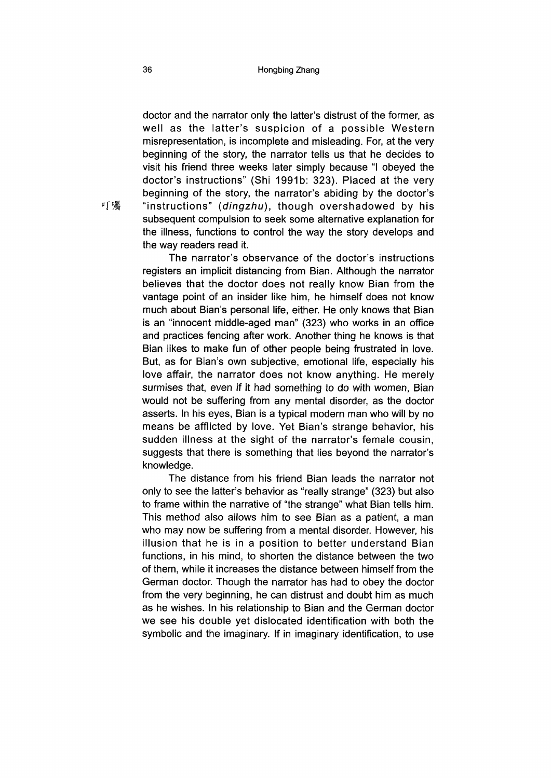doctor and the narrator only the latter's distrust of the former, as well as the latter's suspicion of a possible Western misrepresentation, is incomplete and misleading. For, at the very beginning of the story, the narrator tells us that he decides to visit his friend three weeks later simply because "I obeyed the doctor's instructions" (Shi 1991b: 323). Placed at the very beginning of the story, the narrator's abiding by the doctor's "instructions" *(dingzhu)*, though overshadowed by his subsequent compulsion to seek some alternative explanation for the illness, functions to control the way the story develops and the way readers read it.

The narrator's observance of the doctor's instructions registers an implicit distancing from Bian. Although the narrator believes that the doctor does not really know Bian from the vantage point of an insider like him, he himself does not know much about Bian's personal life, either. He only knows that Bian is an "innocent middle-aged man" (323) who works in an office and practices fencing after work. Another thing he knows is that Bian likes to make fun of other people being frustrated in love. But, as for Bian's own subjective, emotional life, especially his love affair, the narrator does not know anything. He merely surmises that, even if it had something to do with women, Bian would not be suffering from any mental disorder, as the doctor asserts. In his eyes, Bian is a typical modern man who will by no means be afflicted by love. Yet Bian's strange behavior, his sudden illness at the sight of the narrator's female cousin, suggests that there is something that lies beyond the narrator's knowledge.

The distance from his friend Bian leads the narrator not only to see the latter's behavior as "really strange" 323) but also to frame within the narrative of "the strange" what Bian tells him. This method also allows him to see Bian as a patient, a man who may now be suffering from a mental disorder. However, his illusion that he is in a position to better understand Bian functions, in his mind, to shorten the distance between the two of them, while it increases the distance between himself from the German doctor. Though the narrator has had to obey the doctor from the very beginning, he can distrust and doubt him as much as he wishes. In his relationship to Bian and the German doctor we see his double yet dislocated identification with both the symbolic and the imaginary. If in imaginary identification, to use

叮囑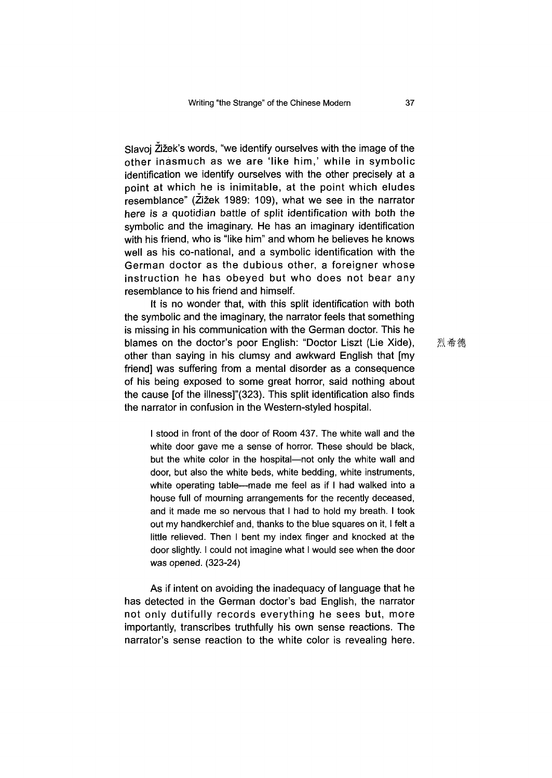Slavoj Zižek's words, "we identify ourselves with the image of the other inasmuch as we are 'like him,' while in symbolic identification we identify ourselves with the other precisely at a point at which he is inimitable, at the point which eludes resemblance" (Zizek 1989: 109), what we see in the narrator here is a quotidian battle of split identification with both the symbolic and the imaginary. He has an imaginary identification with his friend, who is "like him" and whom he believes he knows well as his co-national, and a symbolic identification with the German doctor as the dubious other, a foreigner whose instruction he has obeyed but who does not bear any resemblance to his friend and himself.

It is no wonder that, with this split identification with both the symbolic and the imaginary, the narrator feels that something is missing in his communication with the German doctor. This he blames on the doctor's poor English: "Doctor Liszt (Lie Xide), other than saying in his clumsy and awkward English that [my friend] was suffering from a mental disorder as a consequence of his being exposed to some great horror, said nothing about the cause [of the illness]"(323). This split identification also finds the narrator in confusion in the Western-styled hospital.

I stood in front of the door of Room 437. The white wall and the white door gave me a sense of horror. These should be black, but the white color in the hospital—not only the white wall and door, but also the white beds, white bedding, white instruments, white operating table—made me feel as if I had walked into a house full of mourning arrangements for the recently deceased, and it made me so nervous that I had to hold my breath. I took out my handkerchief and, thanks to the blue squares on it, I felt a little relieved. Then I bent my index finger and knocked at the door slightly. I could not imagine what I would see when the door was opened. (323-24)

As if intent on avoiding the inadequacy of language that he has detected in the German doctor's bad English, the narrator not only dutifully records everything he sees but, more importantly, transcribes truthfully his own sense reactions. The narrator's sense reaction to the white color is revealing here. 烈希德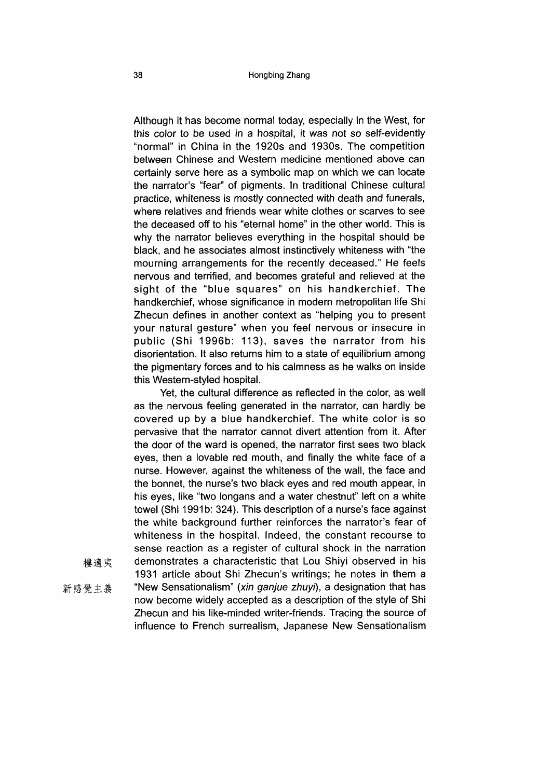Although it has become normal today, especially in the West, for this color to be used in a hospital, it was not so self-evidently "normal" in China in the 1920s and 1930s. The competition between Chinese and Western medicine mentioned above can certainly serve here as a symbolic map on which we can locate the narrator's "fear" of pigments. In traditional Chinese cultural practice, whiteness is mostly connected with death and funerals, where relatives and friends wear white clothes or scarves to see the deceased off to his "eternal home" in the other world. This is why the narrator believes everything in the hospital should be black, and he associates almost instinctively whiteness with "the mourning arrangements for the recently deceased." He feels nervous and terrified, and becomes grateful and relieved at the sight of the "blue squares" on his handkerchief. The handkerchief, whose significance in modern metropolitan life Shi Zhecun defines in another context as "helping you to present your natural gesture" when you feel nervous or insecure in public (Shi 1996b: 113), saves the narrator from his disorientation. It also returns him to a state of equilibrium among the pigmentary forces and to his calmness as he walks on inside this Western-styled hospital.

Yet, the cultural difference as reflected in the color, as well as the nervous feeling generated in the narrator, can hardly be covered up by a blue handkerchief. The white color is so pervasive that the narrator cannot divert attention from it. After the door of the ward is opened, the narrator first sees two black eyes, then a lovable red mouth, and finally the white face of a nurse. However, against the whiteness of the wall, the face and the bonnet, the nurse's two black eyes and red mouth appear, in his eyes, like "two longans and a water chestnut" left on a white towel (Shi 1991b: 324). This description of a nurse's face against the white background further reinforces the narrator's fear of whiteness in the hospital. Indeed, the constant recourse to sense reaction as a register of cultural shock in the narration 樓適夷 demonstrates a characteristic that Lou Shiyi observed in his 1931 article about Shi Zhecun's writings; he notes in them a

- 
- 

新感覺主義 "New Sensationalism" (xin ganjue zhuyi), a designation that has now become widely accepted as a description of the style of Shi Zhecun and his like-minded writer-friends. Tracing the source of influence to French surrealism, Japanese New Sensationalism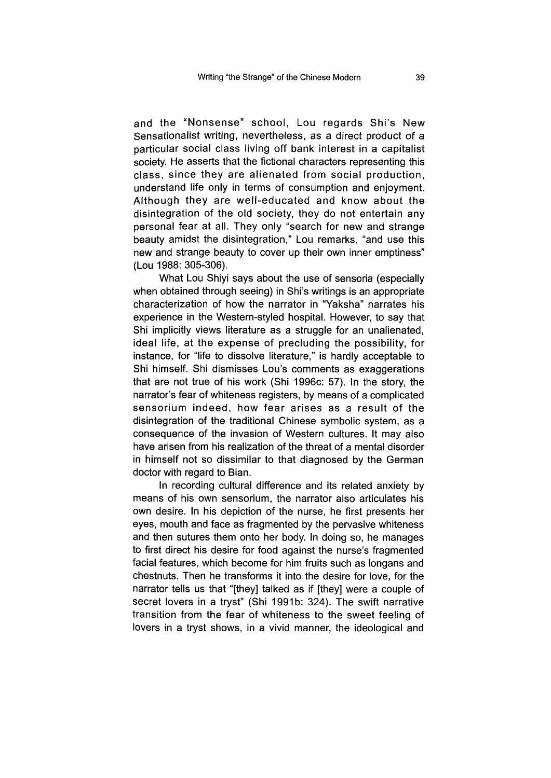and the "Nonsense" school, Lou regards Shi's New Sensationalist writing, nevertheless, as a direct product of a particular social class living off bank interest in a capitalist society. He asserts that the fictional characters representing this class, since they are alienated from social production, understand life only in terms of consumption and enjoyment. Although they are well-educated and know about the disintegration of the old society, they do not entertain any personal fear at all. They only "search for new and strange beauty amidst the disintegration," Lou remarks, "and use this new and strange beauty to cover up their own inner emptiness" (Lou 1988: 305-306).

What Lou Shiyi says about the use of sensoria (especially when obtained through seeing) in Shi's writings is an appropriate characterization of how the narrator in "Yaksha" narrates his experience in the Western-styled hospital. However, to say that Shi implicitly views literature as a struggle for an unalienated, ideal life, at the expense of precluding the possibility, for instance, for "life to dissolve literature," is hardly acceptable to Shi himself. Shi dismisses Lou's comments as exaggerations that are not true of his work (Shi 1996c: 57). In the story, the narrator's fear of whiteness registers, by means of a complicated sensorium indeed, how fear arises as a result of the disintegration of the traditional Chinese symbolic system, as a consequence of the invasion of Western cultures. It may also have arisen from his realization of the threat of a mental disorder in himself not so dissimilar to that diagnosed by the German doctor with regard to Bian.

In recording cultural difference and its related anxiety by means of his own sensorium, the narrator also articulates his own desire. In his depiction of the nurse, he first presents her eyes, mouth and face as fragmented by the pervasive whiteness and then sutures them onto her body. In doing so, he manages to first direct his desire for food against the nurse's fragmented facial features, which become for him fruits such as longans and chestnuts. Then he transforms it into the desire for love, for the narrator tells us that "[they] talked as if [they] were a couple of secret lovers in a tryst" (Shi 1991b: 324). The swift narrative transition from the fear of whiteness to the sweet feeling of lovers in a tryst shows, in a vivid manner, the ideological and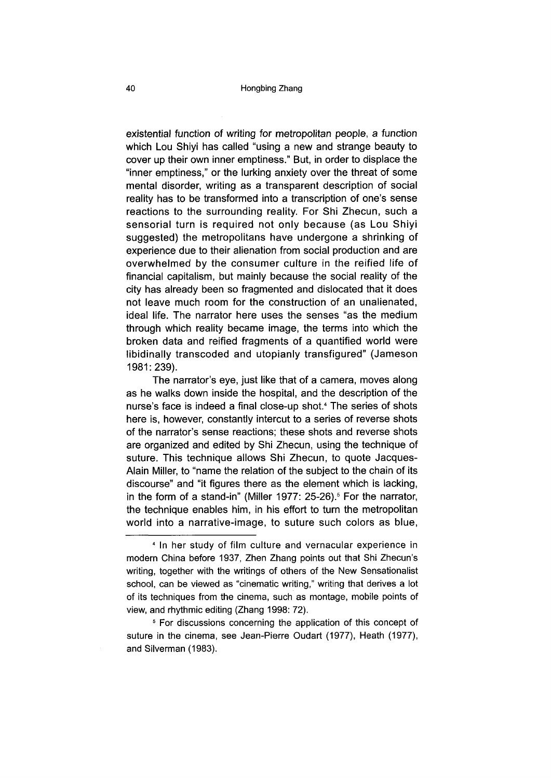existential function of writing for metropolitan people, a function which Lou Shiyi has called "using a new and strange beauty to cover up their own inner emptiness." But, in order to displace the "inner emptiness," or the lurking anxiety over the threat of some mental disorder, writing as a transparent description of social reality has to be transformed into a transcription of one's sense reactions to the surrounding reality. For Shi Zhecun, such a sensorial turn is required not only because (as Lou Shiyi suggested) the metropolitans have undergone a shrinking of experience due to their alienation from social production and are overwhelmed by the consumer culture in the reified life of financial capitalism, but mainly because the social reality of the city has already been so fragmented and dislocated that it does not leave much room for the construction of an unalienated, ideal life. The narrator here uses the senses "as the medium through which reality became image, the terms into which the broken data and reified fragments of a quantified world were libidinally transcoded and utopianly transfigured" (Jameson 1981:239).

The narrator's eye, just like that of a camera, moves along as he walks down inside the hospital, and the description of the nurse's face is indeed a final close-up shot.<sup>4</sup> The series of shots here is, however, constantly intercut to a series of reverse shots of the narrator's sense reactions; these shots and reverse shots are organized and edited by Shi Zhecun, using the technique of suture. This technique allows Shi Zhecun, to quote Jacques-Alain Miller, to "name the relation of the subject to the chain of its discourse" and "it figures there as the element which is lacking, in the form of a stand-in" (Miller 1977:  $25-26$ ).<sup>5</sup> For the narrator, the technique enables him, in his effort to turn the metropolitan world into a narrative-image, to suture such colors as blue,

<sup>4</sup> In her study of film culture and vernacular experience in modern China before 1937, Zhen Zhang points out that Shi Zhecun's writing, together with the writings of others of the New Sensationalist school, can be viewed as "cinematic writing," writing that derives a lot of its techniques from the cinema, such as montage, mobile points of view, and rhythmic editing (Zhang 1998: 72).

<sup>5</sup> For discussions concerning the application of this concept of suture in the cinema, see Jean-Pierre Oudart (1977), Heath (1977), and Silverman (1983).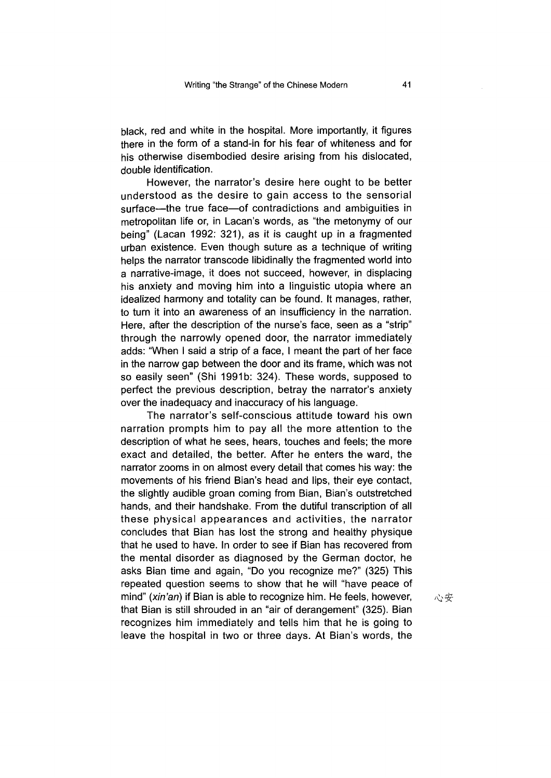black, red and white in the hospital. More importantly, it figures there in the form of a stand-in for his fear of whiteness and for his otherwise disembodied desire arising from his dislocated, double identification.

However, the narrator's desire here ought to be better understood as the desire to gain access to the sensorial surface—the true face—of contradictions and ambiguities in metropolitan life or, in Lacan's words, as "the metonymy of our being" (Lacan 1992: 321), as it is caught up in a fragmented urban existence. Even though suture as a technique of writing helps the narrator transcode libidinally the fragmented world into a narrative-image, it does not succeed, however, in displacing his anxiety and moving him into a linguistic utopia where an idealized harmony and totality can be found. It manages, rather, to turn it into an awareness of an insufficiency in the narration. Here, after the description of the nurse's face, seen as a "strip" through the narrowly opened door, the narrator immediately adds: "When I said a strip of a face, I meant the part of her face in the narrow gap between the door and its frame, which was not so easily seen" (Shi 1991b: 324). These words, supposed to perfect the previous description, betray the narrator's anxiety over the inadequacy and inaccuracy of his language.

The narrator's self-conscious attitude toward his own narration prompts him to pay all the more attention to the description of what he sees, hears, touches and feels; the more exact and detailed, the better. After he enters the ward, the narrator zooms in on almost every detail that comes his way: the movements of his friend Bian's head and lips, their eye contact, the slightly audible groan coming from Bian, Bian's outstretched hands, and their handshake. From the dutiful transcription of all these physical appearances and activities, the narrator concludes that Bian has lost the strong and healthy physique that he used to have. In order to see if Bian has recovered from the mental disorder as diagnosed by the German doctor, he asks Bian time and again, "Do you recognize me?" (325) This repeated question seems to show that he will "have peace of mind" (xin'an) if Bian is able to recognize him. He feels, however, that Bian is still shrouded in an "air of derangement" (325). Bian recognizes him immediately and tells him that he is going to leave the hospital in two or three days. At Bian's words, the

心安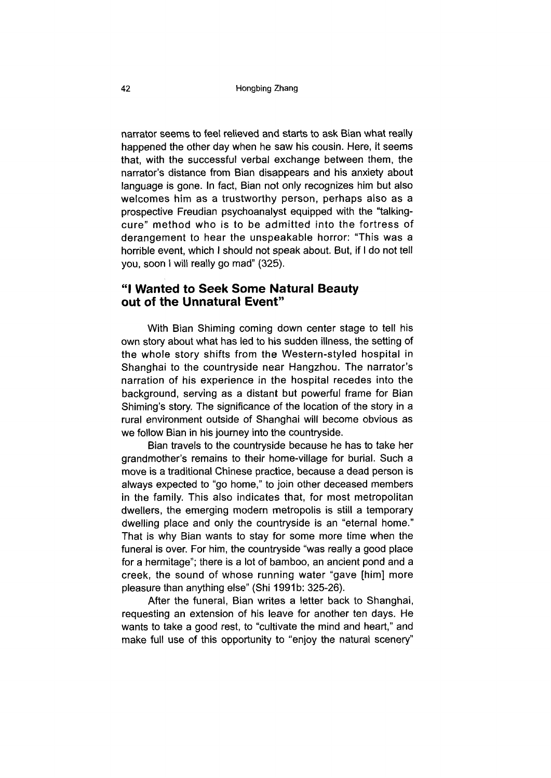narrator seems to feel relieved and starts to ask Bian what really happened the other day when he saw his cousin. Here, it seems that, with the successful verbal exchange between them, the narrator's distance from Bian disappears and his anxiety about language is gone. In fact, Bian not only recognizes him but also welcomes him as a trustworthy person, perhaps also as a prospective Freudian psychoanalyst equipped with the "talkingcure" method who is to be admitted into the fortress of derangement to hear the unspeakable horror: "This was a horrible event, which I should not speak about. But, if I do not tell you, soon I will really go mad" (325).

### **"I Wanted to Seek Some Natural Beauty out of the Unnatural Event"**

With Bian Shiming coming down center stage to tell his own story about what has led to his sudden illness, the setting of the whole story shifts from the Western-styled hospital in Shanghai to the countryside near Hangzhou. The narrator's narration of his experience in the hospital recedes into the background, serving as a distant but powerful frame for Bian Shiming's story. The significance of the location of the story in a rural environment outside of Shanghai will become obvious as we follow Bian in his journey into the countryside.

Bian travels to the countryside because he has to take her grandmother's remains to their home-village for burial. Such a move is a traditional Chinese practice, because a dead person is always expected to "go home," to join other deceased members in the family. This also indicates that, for most metropolitan dwellers, the emerging modern metropolis is still a temporary dwelling place and only the countryside is an "eternal home." That is why Bian wants to stay for some more time when the funeral is over. For him, the countryside "was really a good place for a hermitage"; there is a lot of bamboo, an ancient pond and a creek, the sound of whose running water "gave [him] more pleasure than anything else" (Shi 1991b: 325-26).

After the funeral, Bian writes a letter back to Shanghai, requesting an extension of his leave for another ten days. He wants to take a good rest, to "cultivate the mind and heart," and make full use of this opportunity to "enjoy the natural scenery"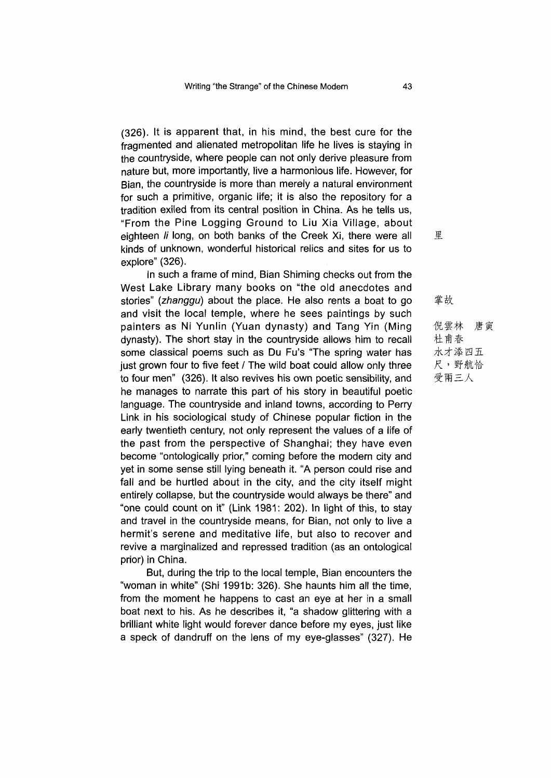(326). It is apparent that, in his mind, the best cure for the fragmented and alienated metropolitan life he lives is staying in the countryside, where people can not only derive pleasure from nature but, more importantly, live a harmonious life. However, for Bian, the countryside is more than merely a natural environment for such a primitive, organic life; it is also the repository for a tradition exiled from its central position in China. As he tells us, "From the Pine Logging Ground to Uu Xia Village, about eighteen *li* long, on both banks of the Creek Xi, there were all kinds of unknown, wonderful historical relics and sites for us to explore" (326).

In such a frame of mind, Bian Shiming checks out from the West Lake Library many books on "the old anecdotes and stories" *(zhanggu)* about the place. He also rents a boat to go and visit the local temple, where he sees paintings by such painters as Ni Yunlin (Yuan dynasty) and Tang Yin (Ming dynasty). The short stay in the countryside allows him to recall some classical poems such as Du Fu's "The spring water has just grown four to five feet / The wild boat could allow only three to four men" (326). It also revives his own poetic sensibility, and he manages to narrate this part of his story in beautiful poetic language. The countryside and inland towns, according to Perry Link in his sociological study of Chinese popular fiction in the early twentieth century, not only represent the values of a life of the past from the perspective of Shanghai; they have even become "ontologically prior," coming before the modern city and yet in some sense still lying beneath it. "A person could rise and fall and be hurtled about in the city, and the city itself might entirely collapse, but the countryside would always be there" and "one could count on it" (Link 1981: 202). In light of this, to stay and travel in the countryside means, for Bian, not only to live a hermit's serene and meditative life, but also to recover and revive a marginalized and repressed tradition (as an ontological prior) in China.

But, during the trip to the local temple, Bian encounters the "woman in white" (Shi 1991b: 326). She haunts him all the time, from the moment he happens to cast an eye at her in a small boat next to his. As he describes it, "a shadow glittering with a brilliant white light would forever dance before my eyes, just like a speck of dandruff on the lens of my eye-glasses" (327). He 里

掌故 倪雲林 唐寅

杜甫春 水才添四五 野航恰 受兩三人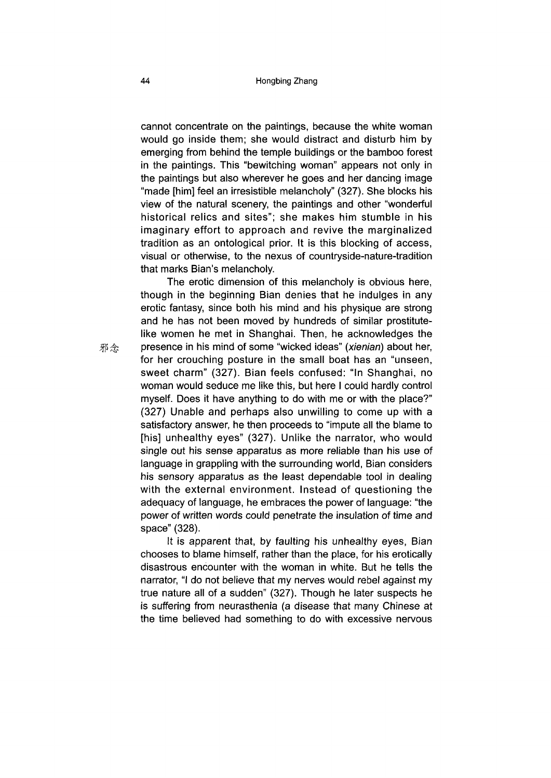cannot concentrate on the paintings, because the white woman would go inside them; she would distract and disturb him by emerging from behind the temple buildings or the bamboo forest in the paintings. This "bewitching woman" appears not only in the paintings but also wherever he goes and her dancing image "made [him] feel an irresistible melancholy" (327). She blocks his view of the natural scenery, the paintings and other "wonderful historical relics and sites"; she makes him stumble in his imaginary effort to approach and revive the marginalized tradition as an ontological prior. It is this blocking of access, visual or otherwise, to the nexus of countryside-nature-tradition that marks Bian's melancholy.

The erotic dimension of this melancholy is obvious here, though in the beginning Bian denies that he indulges in any erotic fantasy, since both his mind and his physique are strong and he has not been moved by hundreds of similar prostitutelike women he met in Shanghai. Then, he acknowledges the 邪念 presence in his mind of some "wicked ideas" *(xienian)* about her, for her crouching posture in the small boat has an "unseen, sweet charm" (327). Bian feels confused: "In Shanghai, no woman would seduce me like this, but here I could hardly control myself. Does it have anything to do with me or with the place?" (327) Unable and perhaps also unwilling to come up with a satisfactory answer, he then proceeds to "impute all the blame to [his] unhealthy eyes" (327). Unlike the narrator, who would single out his sense apparatus as more reliable than his use of language in grappling with the surrounding world, Bian considers his sensory apparatus as the least dependable tool in dealing with the external environment. Instead of questioning the adequacy of language, he embraces the power of language: "the power of written words could penetrate the insulation of time and space" (328).

> It is apparent that, by faulting his unhealthy eyes, Bian chooses to blame himself, rather than the place, for his erotically disastrous encounter with the woman in white. But he tells the narrator, "I do not believe that my nerves would rebel against my true nature all of a sudden" 327). Though he later suspects he is suffering from neurasthenia (a disease that many Chinese at the time believed had something to do with excessive nervous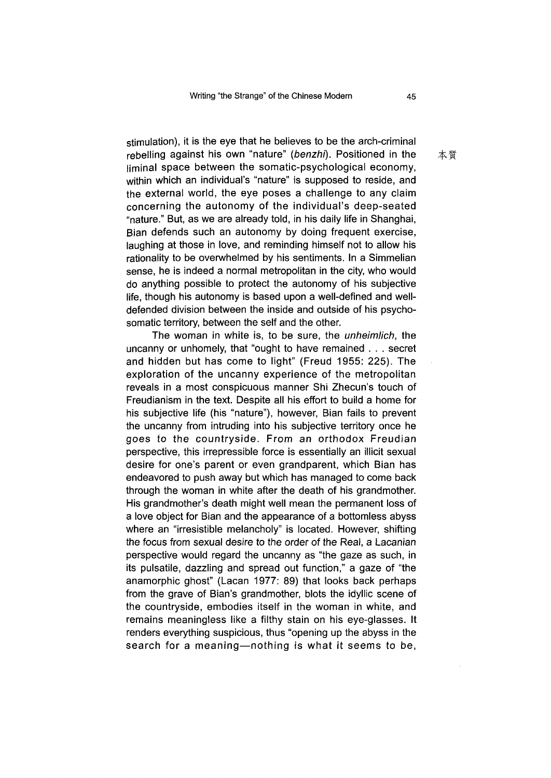stimulation), it is the eye that he believes to be the arch-criminal rebelling against his own "nature" *(benzhi).* Positioned in the liminal space between the somatic-psychological economy, within which an individual's "nature" is supposed to reside, and the external world, the eye poses a challenge to any claim concerning the autonomy of the individual's deep-seated "nature." But, as we are already told, in his daily life in Shanghai, Bian defends such an autonomy by doing frequent exercise, laughing at those in love, and reminding himself not to allow his rationality to be overwhelmed by his sentiments. In a Simmelian sense, he is indeed a normal metropolitan in the city, who would do anything possible to protect the autonomy of his subjective life, though his autonomy is based upon a well-defined and welldefended division between the inside and outside of his psychosomatic territory, between the self and the other.

The woman in white is, to be sure, the *unheimlich,* the uncanny or unhomely, that "ought to have remained  $\ldots$  secret and hidden but has come to light" (Freud 1955: 225). The exploration of the uncanny experience of the metropolitan reveals in a most conspicuous manner Shi Zhecun's touch of Freudianism in the text. Despite all his effort to build a home for his subjective life (his "nature"), however, Bian fails to prevent the uncanny from intruding into his subjective territory once he goes to the countryside. From an orthodox Freudian perspective, this irrepressible force is essentially an illicit sexual desire for one's parent or even grandparent, which Bian has endeavored to push away but which has managed to come back through the woman in white after the death of his grandmother. His grandmother's death might well mean the permanent loss of a love object for Bian and the appearance of a bottomless abyss where an "irresistible melancholy" is located. However, shifting the focus from sexual desire to the order of the Real, a Lacanian perspective would regard the uncanny as "the gaze as such, in its pulsatile, dazzling and spread out function," a gaze of "the anamorphic ghost" (Lacan 1977: 89) that looks back perhaps from the grave of Bian's grandmother, blots the idyllic scene of the countryside, embodies itself in the woman in white, and remains meaningless like a filthy stain on his eye-glasses. It renders everything suspicious, thus "opening up the abyss in the search for a meaning—nothing is what it seems to be,

本質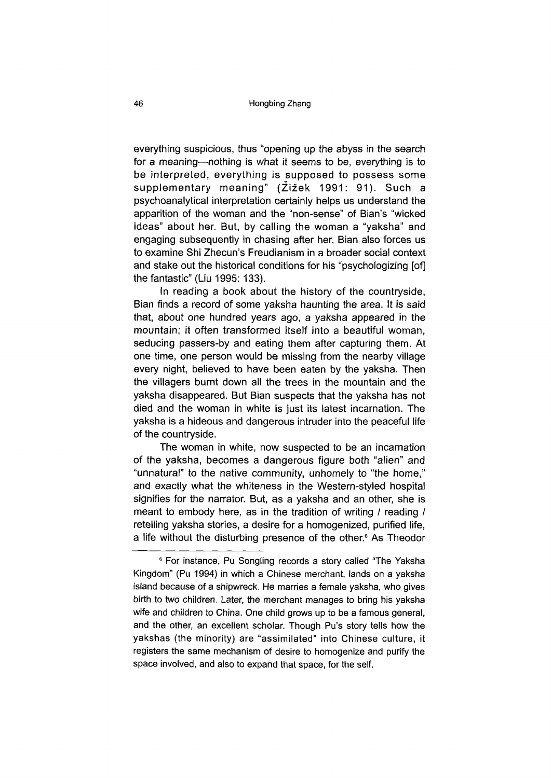everything suspicious, thus "opening up the abyss in the search for a meaning—nothing is what it seems to be, everything is to be interpreted, everything is supposed to possess some supplementary meaning" (Zizek 1991: 91). Such a psychoanalytical interpretation certainly helps us understand the apparition of the woman and the "non-sense" of Bian's "wicked ideas" about her. But, by calling the woman a "yaksha" and engaging subsequently in chasing after her, Bian also forces us to examine Shi Zhecun's Freudianism in a broader social context and stake out the historical conditions for his "psychologizing [of] the fantastic" (Liu 1995: 133).

In reading a book about the history of the countryside, Bian finds a record of some yaksha haunting the *area.* It is said that, about one hundred years ago, a yaksha appeared in the mountain; it often transformed itself into a beautiful woman, seducing passers-by and eating them after capturing them. At one time, one person would be missing from the nearby village every night, believed to have been eaten by the yaksha. Then the villagers burnt down all the trees in the mountain and the yaksha disappeared. But Bian suspects that the yaksha has not died and the woman in white is just its latest incarnation. The yaksha is a hideous and dangerous intruder into the peaceful life of the countryside.

The woman in white, now suspected to be an incarnation of the yaksha, becomes a dangerous figure both "alien" and "unnatural" to the native community, unhomely to "the home," and exactly what the whiteness in the Western-styled hospital signifies for the narrator. But, as a yaksha and an other, she is meant to embody here, as in the tradition of writing / reading / retelling yaksha stories, a desire for a homogenized, purified life, a life without the disturbing presence of the other.<sup>6</sup> As Theodor

<sup>&</sup>lt;sup>6</sup> For instance, Pu Songling records a story called "The Yaksha Kingdom" (Pu 1994) in which a Chinese merchant, lands on a yaksha island because of a shipwreck. He marries a female yaksha, who gives birth to two children. Later, the merchant manages to bring his yaksha wife and children to China. One child grows up to be a famous general, and the other, an excellent scholar. Though Pu's story tells how the yakshas (the minority) are "assimilated" into Chinese culture, it registers the same mechanism of desire to homogenize and purify the space involved, and also to expand that space, for the self.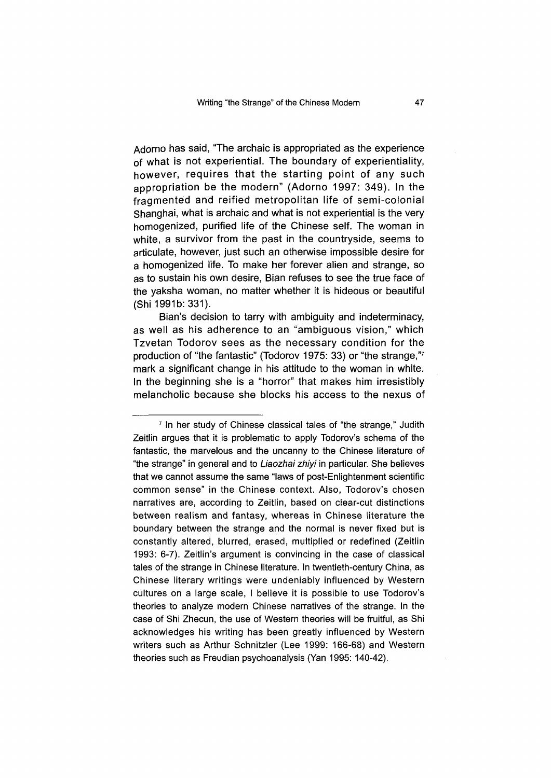Adorno has said, "The archaic is appropriated as the experience of what is not experiential. The boundary of experientiality, however, requires that the starting point of any such appropriation be the modern" (Adorno 1997: 349). In the fragmented and reified metropolitan life of semi-colonial Shanghai, what is archaic and what is not experiential is the very homogenized, purified life of the Chinese self. The woman in white, a survivor from the past in the countryside, seems to articulate, however, just such an otherwise impossible desire for a homogenized life. To make her forever alien and strange, so as to sustain his own desire, Bian refuses to see the true face of the yaksha woman, no matter whether it is hideous or beautiful (Shi 1991b: 331).

Bian's decision to tarry with ambiguity and indeterminacy, as well as his adherence to an "ambiguous vision," which Tzvetan Todorov sees as the necessary condition for the production of "the fantastic" (Todorov 1975: 33) or "the strange,"7 mark a significant change in his attitude to the woman in white. In the beginning she is a "horror" that makes him irresistibly melancholic because she blocks his access to the nexus of

<sup>&</sup>lt;sup>7</sup> In her study of Chinese classical tales of "the strange," Judith Zeitlin argues that it is problematic to apply Todorov's schema of the fantastic, the marvelous and the uncanny to the Chinese literature of "the strange" in general and to *Liaozhai zhiyi* in particular. She believes that we cannot assume the same "laws of post-Enlightenment scientific common sense" in the Chinese context. Also, Todorov's chosen narratives are, according to Zeitlin, based on clear-cut distinctions between realism and fantasy, whereas in Chinese literature the boundary between the strange and the normal is never fixed but is constantly altered, blurred, erased, multiplied or redefined (Zeitlin 1993: 6-7). Zeitlin's argument is convincing in the case of classical tales of the strange in Chinese literature. In twentieth-century China, as Chinese literary writings were undeniably influenced by Western cultures on a large scale, I believe it is possible to use Todorov's theories to analyze modern Chinese narratives of the strange. In the case of Shi Zhecun, the use of Western theories will be fruitful, as Shi acknowledges his writing has been greatly influenced by Western writers such as Arthur Schnitzler (Lee 1999: 166-68) and Western theories such as Freudian psychoanalysis (Yan 1995: 140-42).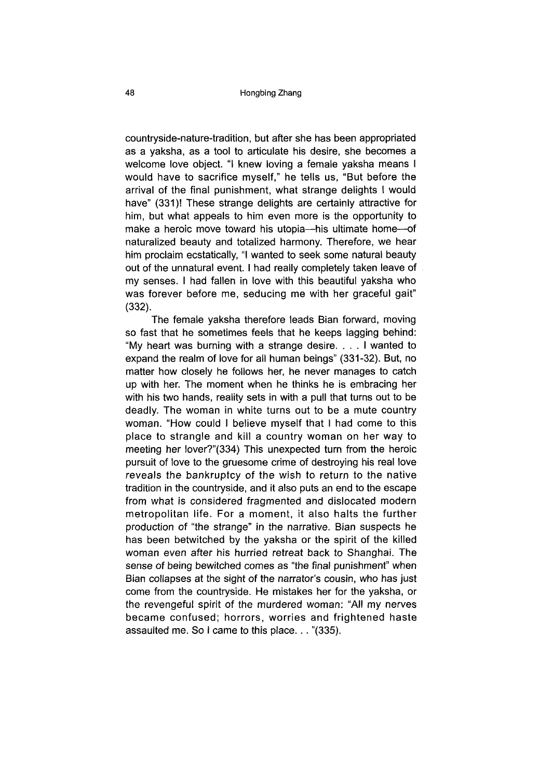countryside-nature-tradition, but after she has been appropriated as a yaksha, as a tool to articulate his desire, she becomes a welcome love object. "I knew loving a female yaksha means I would have to sacrifice myself," he tells us, "But before the arrival of the final punishment, what strange delights I would have" (331)! These strange delights are certainly attractive for him, but what appeals to him even more is the opportunity to make a heroic move toward his utopia—his ultimate home—of naturalized beauty and totalized harmony. Therefore, we hear him proclaim ecstatically, "I wanted to seek some natural beauty out of the unnatural event. I had really completely taken leave of my senses. I had fallen in love with this beautiful yaksha who was forever before me, seducing me with her graceful gait" (332).

The female yaksha therefore leads Bian forward, moving so fast that he sometimes feels that he keeps lagging behind: "My heart was burning with a strange desire.  $\ldots$  I wanted to expand the realm of love for all human beings" (331-32). But, no matter how closely he follows her, he never manages to catch up with her. The moment when he thinks he is embracing her with his two hands, reality sets in with a pull that turns out to be deadly. The woman in white turns out to be a mute country woman. "How could I believe myself that I had come to this place to strangle and kill a country woman on her way to meeting her lover?"(334) This unexpected turn from the heroic pursuit of love to the gruesome crime of destroying his real love reveals the bankruptcy of the wish to return to the native tradition in the countryside, and it also puts an end to the escape from what is considered fragmented and dislocated modern metropolitan life. For a moment, it also halts the further production of "the strange" in the narrative. Bian suspects he has been betwitched by the yaksha or the spirit of the killed woman even after his hurried retreat back to Shanghai. The sense of being bewitched comes as "the final punishment" when Bian collapses at the sight of the narrator's cousin, who has just come from the countryside. He mistakes her for the yaksha, or the revengeful spirit of the murdered woman: "All my nerves became confused; horrors, worries and frightened haste assaulted me. So I came to this place. .. "(335).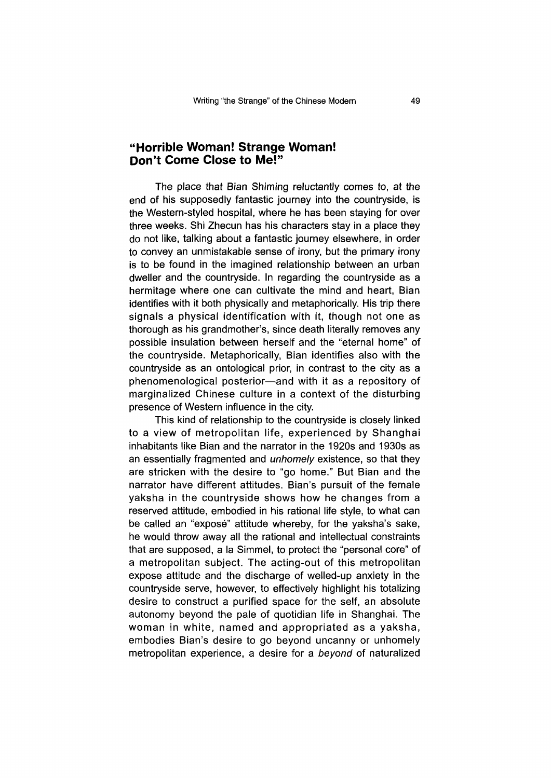## **"Horrible Woman! Strange Woman! Don't Come Close to Me!"**

The place that Bian Shiming reluctantly comes to, at the end of his supposedly fantastic journey into the countryside, is the Western-styled hospital, where he has been staying for over three weeks. Shi Zhecun has his characters stay in a place they do not like, talking about a fantastic journey elsewhere, in order to convey an unmistakable sense of irony, but the primary irony is to be found in the imagined relationship between an urban dweller and the countryside. In regarding the countryside as a hermitage where one can cultivate the mind and heart, Bian identifies with it both physically and metaphorically. His trip there signals a physical identification with it, though not one as thorough as his grandmother's, since death literally removes any possible insulation between herself and the "eternal home" of the countryside. Metaphorically, Bian identifies also with the countryside as an ontological prior, in contrast to the city as a phenomenological posterior—and with it as a repository of marginalized Chinese culture in a context of the disturbing presence of Western influence in the city.

This kind of relationship to the countryside is closely linked to a view of metropolitan life, experienced by Shanghai inhabitants like Bian and the narrator in the 1920s and 1930s as an essentially fragmented and *unhomely* existence, so that they are stricken with the desire to "go home." But Bian and the narrator have different attitudes. Bian's pursuit of the female yaksha in the countryside shows how he changes from a reserved attitude, embodied in his rational life style, to what can be called an "exposé" attitude whereby, for the yaksha's sake, he would throw away all the rational and intellectual constraints that are supposed, a la Simmel, to protect the "personal core" of a metropolitan subject. The acting-out of this metropolitan expose attitude and the discharge of welled-up anxiety in the countryside serve, however, to effectively highlight his totalizing desire to construct a purified space for the self, an absolute autonomy beyond the pale of quotidian life in Shanghai. The woman in white, named and appropriated as a yaksha, embodies Bian's desire to go beyond uncanny or unhomely metropolitan experience, a desire for a *beyond* of naturalized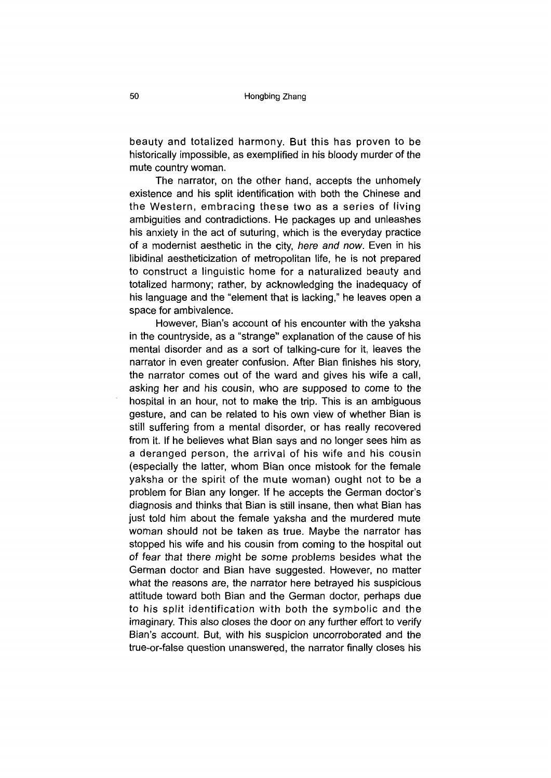beauty and totalized harmony. But this has proven to be historically impossible, as exemplified in his bloody murder of the mute country woman.

The narrator, on the other hand, accepts the unhomely existence and his split identification with both the Chinese and the Western, embracing these two as a series of living ambiguities and contradictions. He packages up and unleashes his anxiety in the act of suturing, which is the everyday practice of a modernist aesthetic in the city, *here and now.* Even in his libidinal aestheticization of metropolitan life, he is not prepared to construct a linguistic home for a naturalized beauty and totalized harmony; rather, by acknowledging the inadequacy of his language and the "element that is lacking," he leaves open a space for ambivalence.

However, Bian's account of his encounter with the yaksha in the countryside, as a "strange" explanation of the cause of his mental disorder and as a sort of talking-cure for it, leaves the narrator in even greater confusion. After Bian finishes his story, the narrator comes out of the ward and gives his wife a call, asking her and his cousin, who are supposed to come to the hospital in an hour, not to make the trip. This is an ambiguous gesture, and can be related to his own view of whether Bian is still suffering from a mental disorder, or has really recovered from it. If he believes what Bian says and no longer sees him as a deranged person, the arrival of his wife and his cousin (especially the latter, whom Bian once mistook for the female yaksha or the spirit of the mute woman) ought not to be a problem for Bian any longer. If he accepts the German doctor's diagnosis and thinks that Bian is still insane, then what Bian has just told him about the female yaksha and the murdered mute woman should not be taken as true. Maybe the narrator has stopped his wife and his cousin from coming to the hospital out of fear that there might be some problems besides what the German doctor and Bian have suggested. However, no matter what the reasons are, the narrator here betrayed his suspicious attitude toward both Bian and the German doctor, perhaps due to his split identification with both the symbolic and the imaginary. This also closes the door on any further effort to verify Bian's account. But, with his suspicion uncorroborated and the true-or-false question unanswered, the narrator finally closes his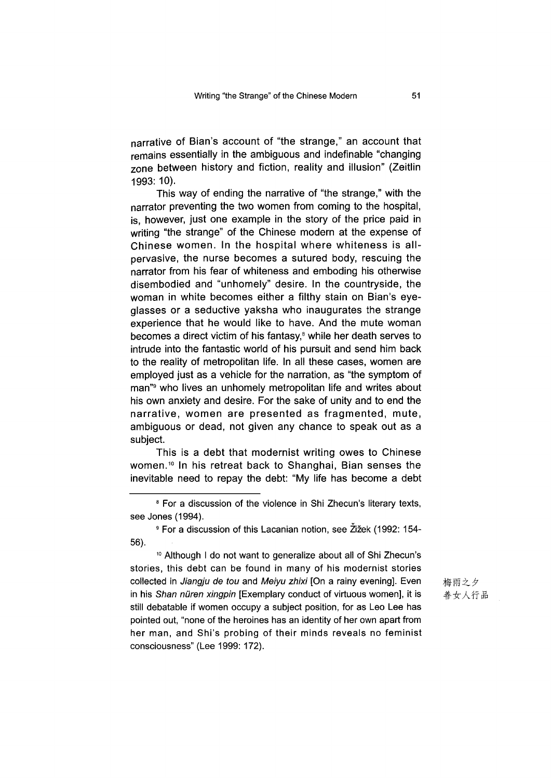narrative of Bian's account of "the strange," an account that remains essentially in the ambiguous and indefinable "changing zone between history and fiction, reality and illusion" (Zeitlin 1993: 10).

This way of ending the narrative of "the strange," with the narrator preventing the two women from coming to the hospital, is, however, just one example in the story of the price paid in writing "the strange" of the Chinese modern at the expense of Chinese women. In the hospital where whiteness is allpervasive, the nurse becomes a sutured body, rescuing the narrator from his fear of whiteness and emboding his otherwise disembodied and "unhomely" desire. In the countryside, the woman in white becomes either a filthy stain on Bian's eyeglasses or a seductive yaksha who inaugurates the strange experience that he would like to have. And the mute woman becomes a direct victim of his fantasy,<sup>8</sup> while her death serves to intrude into the fantastic world of his pursuit and send him back to the reality of metropolitan life. In all these cases, women are employed just as a vehicle for the narration, as "the symptom of man"9 who lives an unhomely metropolitan life and writes about his own anxiety and desire. For the sake of unity and to end the narrative, women are presented as fragmented, mute, ambiguous or dead, not given any chance to speak out as a subject.

This is a debt that modernist writing owes to Chinese women.10 In his retreat back to Shanghai, Bian senses the inevitable need to repay the debt: "My life has become a debt

10 Although I do not want to generalize about all of Shi Zhecun's stories, this debt can be found in many of his modernist stories collected in *Jiangju de tou* and *Meiyu zhixi* [On a rainy evening]. Even in his *Shan nuren xingpin* [Exemplary conduct of virtuous women], it is still debatable if women occupy a subject position, for as Leo Lee has pointed out, "none of the heroines has an identity of her own apart from her man, and Shi's probing of their minds reveals no feminist consciousness" (Lee 1999: 172).

梅雨之夕 善女人行品

<sup>&</sup>lt;sup>8</sup> For a discussion of the violence in Shi Zhecun's literary texts, see Jones (1994).

<sup>&</sup>lt;sup>9</sup> For a discussion of this Lacanian notion, see Žižek (1992: 154-56).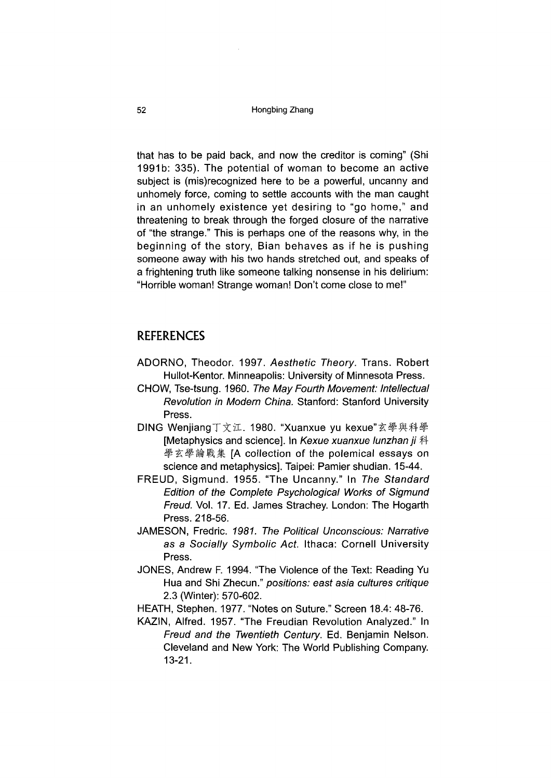#### 52 Hongbing Zhang

that has to be paid back, and now the creditor is coming" (Shi 1991b: 335). The potential of woman to become an active subject is (mis)recognized here to be a powerful, uncanny and unhomely force, coming to settle accounts with the man caught in an unhomely existence yet desiring to "go home," and threatening to break through the forged closure of the narrative of "the strange." This is perhaps one of the reasons why, in the beginning of the story, Bian behaves as if he is pushing someone away with his two hands stretched out, and speaks of a frightening truth like someone talking nonsense in his delirium: "Horrible woman! Strange woman! Don't come close to me!"

## REFERENCES

- ADORNO, Theodor. 1997. *Aesthetic Theory.* Trans. Robert Hullot-Kentor. Minneapolis: University of Minnesota Press.
- CHOW, Tse-tsung. 1960. *The May Fourth Movement: Intellectual Revolution in Modern China.* Stanford: Stanford University Press.
- DING Wenjiang丁文江.1980. "Xuanxue yu kexue"玄學與科學 [Metaphysics and science]. In *Kexue xuanxue lunzhan ji* # 學玄學論戰集 [A collection of the polemical essays on science and metaphysics]. Taipei: Pamier shudian. 15-44.
- FREUD, Sigmund. 1955. "The Uncanny." In The Standard *Edition of the Complete Psychological Works of Sigmund Freud.* VoL 17. Ed. James Strachey. London: The Hogarth Press. 218-56.
- JAMESON, Fredric. *1981. The Political Unconscious: Narrative as a Socially Symbolic Act.* Ithaca: Cornell University Press.
- JONES, Andrew F. 1994. "The Violence of the Text: Reading Yu Hua and Shi Zhecun." positions: east asia cultures critique 2.3 (Winter): 570-602.
- HEATH, Stephen. 1977. "Notes on Suture." Screen 18.4: 48-76.
- KAZIN, Alfred. 1957. "The Freudian Revolution Analyzed." In *Freud and the Twentieth Century.* Ed. Benjamin Nelson. Cleveland and New York: The World Publishing Company. 13-21.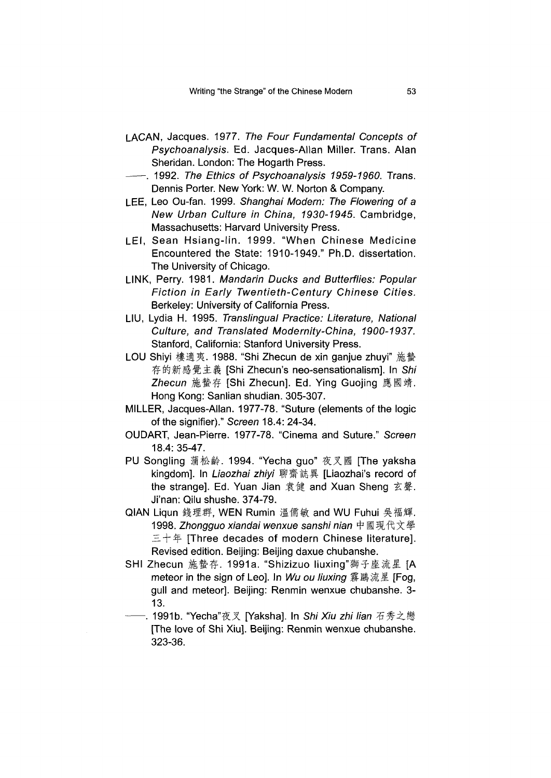- LACAN, Jacques. 1977. *The Four Fundamental Concepts of Psychoanalysis.* Ed. Jacques-Allan Miller. Trans. Alan Sheridan. London: The Hogarth Press.
- ----- .1992. *The Ethics of Psychoanalysis 1959-1960.* Trans. Dennis Porter. New York: W. W. Norton & Company.
- LEE, Leo Ou-fan. 1999. *Shanghai Modem: The Flowering of a New Urban Culture in China, 1930-1945.* Cambridge, Massachusetts: Harvard University Press.
- LEI, Sean Hsiang-lin. 1999. "When Chinese Medicine Encountered the State: 1910-1949." Ph.D. dissertation. The University of Chicago.
- LINK, Perry. 1981. *Mandarin Ducks and Butterflies: Popular Fiction in Early Twentieth-Century Chinese Cities.* Berkeley: University of California Press.
- LIU, Lydia H. 1995. *Translingual Practice: Literature, National Culture, and Translated Modernity-China, 1900-1937.* Stanford, California: Stanford University Press.
- LOU Shiyi 樓適夷. 1988. "Shi Zhecun de xin ganjue zhuyi" 施蟄 存的新感覺主義 [Shi Zhecun's neo-sensationalism]. In Shi Zhecun 施蟄存 [Shi Zhecun]. Ed. Ying Guojing 應國靖. Hong Kong: Sanlian shudian. 305-307.
- MILLER, Jacques-Allan. 1977-78. "Suture (elements of the logic of the signifier)." *Screen* 18.4: 24-34.
- OUDART, Jean-Pierre. 1977-78. "Cinema and Suture." *Screen* 18.4: 35-47.
- PU Songling 蒲松齡. 1994. "Yecha guo" 夜叉國 [The yaksha kingdom]. In Liaozhai zhiyi 聊齋誌異 [Liaozhai's record of the strange]. Ed. Yuan Jian 袁健 and Xuan Sheng 玄聲. Ji'nan: Qilu shushe. 374-79.
- QIAN Liqun 錢理群,WEN Rumin 溫儒敏 and WU Fuhui 吳福輝. 1998. Zhongguo xiandai wenxue sanshi nian 中國現代文學  $\pm +$   $\mp$  [Three decades of modern Chinese literature]. Revised edition. Beijing: Beijing daxue chubanshe.
- SHI Zhecun 施蟄存. 1991a. "Shizizuo liuxing"獅子座流星 [A meteor in the sign of Leo]. In *Wu ou liuxing* 霧鷗流星 [Fog, gull and meteor]. Beijing: Renmin wenxue chubanshe. 3- 13.
	- −. 1991b. "Yecha"夜叉 [Yaksha]. In *Shi Xiu zhi lian 石秀*之戀 [The love of Shi Xiu]. Beijing: Renmin wenxue chubanshe. 323-36.